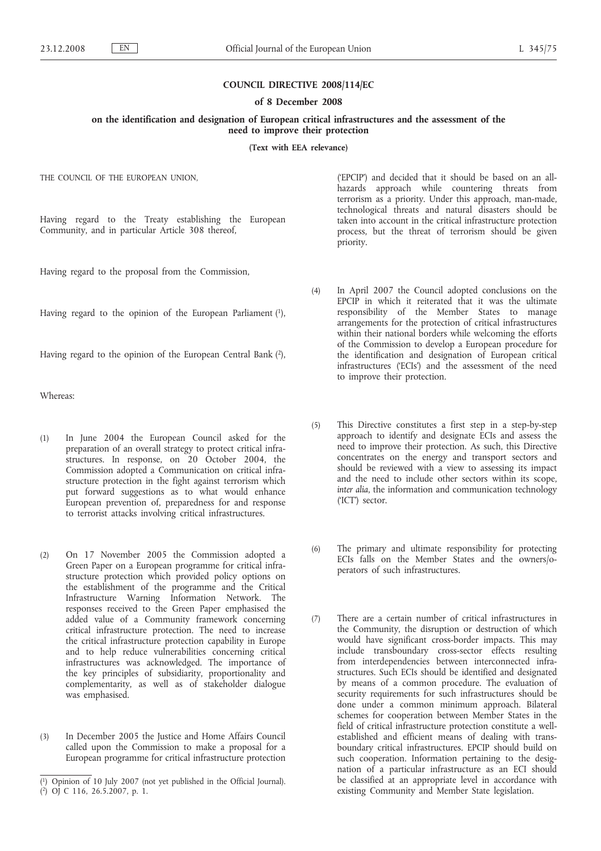## **COUNCIL DIRECTIVE 2008/114/EC**

#### **of 8 December 2008**

### **on the identification and designation of European critical infrastructures and the assessment of the need to improve their protection**

**(Text with EEA relevance)**

THE COUNCIL OF THE EUROPEAN UNION,

Having regard to the Treaty establishing the European Community, and in particular Article 308 thereof,

Having regard to the proposal from the Commission,

Having regard to the opinion of the European Parliament  $(1)$ ,

Having regard to the opinion of the European Central Bank (2),

Whereas:

- (1) In June 2004 the European Council asked for the preparation of an overall strategy to protect critical infrastructures. In response, on 20 October 2004, the Commission adopted a Communication on critical infrastructure protection in the fight against terrorism which put forward suggestions as to what would enhance European prevention of, preparedness for and response to terrorist attacks involving critical infrastructures.
- (2) On 17 November 2005 the Commission adopted a Green Paper on a European programme for critical infrastructure protection which provided policy options on the establishment of the programme and the Critical Infrastructure Warning Information Network. The responses received to the Green Paper emphasised the added value of a Community framework concerning critical infrastructure protection. The need to increase the critical infrastructure protection capability in Europe and to help reduce vulnerabilities concerning critical infrastructures was acknowledged. The importance of the key principles of subsidiarity, proportionality and complementarity, as well as of stakeholder dialogue was emphasised.
- (3) In December 2005 the Justice and Home Affairs Council called upon the Commission to make a proposal for a European programme for critical infrastructure protection

('EPCIP') and decided that it should be based on an allhazards approach while countering threats from terrorism as a priority. Under this approach, man-made, technological threats and natural disasters should be taken into account in the critical infrastructure protection process, but the threat of terrorism should be given priority.

- (4) In April 2007 the Council adopted conclusions on the EPCIP in which it reiterated that it was the ultimate responsibility of the Member States to manage arrangements for the protection of critical infrastructures within their national borders while welcoming the efforts of the Commission to develop a European procedure for the identification and designation of European critical infrastructures ('ECIs') and the assessment of the need to improve their protection.
- (5) This Directive constitutes a first step in a step-by-step approach to identify and designate ECIs and assess the need to improve their protection. As such, this Directive concentrates on the energy and transport sectors and should be reviewed with a view to assessing its impact and the need to include other sectors within its scope, *inter alia*, the information and communication technology ('ICT') sector.
- (6) The primary and ultimate responsibility for protecting ECIs falls on the Member States and the owners/operators of such infrastructures.
- (7) There are a certain number of critical infrastructures in the Community, the disruption or destruction of which would have significant cross-border impacts. This may include transboundary cross-sector effects resulting from interdependencies between interconnected infrastructures. Such ECIs should be identified and designated by means of a common procedure. The evaluation of security requirements for such infrastructures should be done under a common minimum approach. Bilateral schemes for cooperation between Member States in the field of critical infrastructure protection constitute a wellestablished and efficient means of dealing with transboundary critical infrastructures. EPCIP should build on such cooperation. Information pertaining to the designation of a particular infrastructure as an ECI should be classified at an appropriate level in accordance with existing Community and Member State legislation.

<sup>(</sup> 1) Opinion of 10 July 2007 (not yet published in the Official Journal). ( 2) OJ C 116, 26.5.2007, p. 1.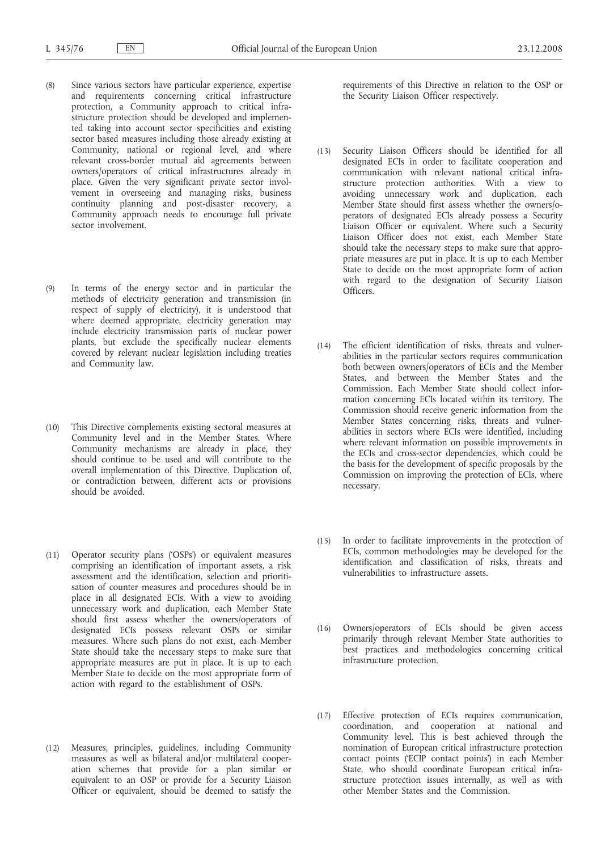- (8) Since various sectors have particular experience, expertise and requirements concerning critical infrastructure protection, a Community approach to critical infrastructure protection should be developed and implemented taking into account sector specificities and existing sector based measures including those already existing at Community, national or regional level, and where relevant cross-border mutual aid agreements between owners/operators of critical infrastructures already in place. Given the very significant private sector involvement in overseeing and managing risks, business continuity planning and post-disaster recovery, a Community approach needs to encourage full private sector involvement.
- (9) In terms of the energy sector and in particular the methods of electricity generation and transmission (in respect of supply of electricity), it is understood that where deemed appropriate, electricity generation may include electricity transmission parts of nuclear power plants, but exclude the specifically nuclear elements covered by relevant nuclear legislation including treaties and Community law.
- (10) This Directive complements existing sectoral measures at Community level and in the Member States. Where Community mechanisms are already in place, they should continue to be used and will contribute to the overall implementation of this Directive. Duplication of, or contradiction between, different acts or provisions should be avoided.
- (11) Operator security plans ('OSPs') or equivalent measures comprising an identification of important assets, a risk assessment and the identification, selection and prioritisation of counter measures and procedures should be in place in all designated ECIs. With a view to avoiding unnecessary work and duplication, each Member State should first assess whether the owners/operators of designated ECIs possess relevant OSPs or similar measures. Where such plans do not exist, each Member State should take the necessary steps to make sure that appropriate measures are put in place. It is up to each Member State to decide on the most appropriate form of action with regard to the establishment of OSPs.
- (12) Measures, principles, guidelines, including Community measures as well as bilateral and/or multilateral cooperation schemes that provide for a plan similar or equivalent to an OSP or provide for a Security Liaison Officer or equivalent, should be deemed to satisfy the

requirements of this Directive in relation to the OSP or the Security Liaison Officer respectively.

- (13) Security Liaison Officers should be identified for all designated ECIs in order to facilitate cooperation and communication with relevant national critical infrastructure protection authorities. With a view to avoiding unnecessary work and duplication, each Member State should first assess whether the owners/operators of designated ECIs already possess a Security Liaison Officer or equivalent. Where such a Security Liaison Officer does not exist, each Member State should take the necessary steps to make sure that appropriate measures are put in place. It is up to each Member State to decide on the most appropriate form of action with regard to the designation of Security Liaison Officers.
- (14) The efficient identification of risks, threats and vulnerabilities in the particular sectors requires communication both between owners/operators of ECIs and the Member States, and between the Member States and the Commission. Each Member State should collect information concerning ECIs located within its territory. The Commission should receive generic information from the Member States concerning risks, threats and vulnerabilities in sectors where ECIs were identified, including where relevant information on possible improvements in the ECIs and cross-sector dependencies, which could be the basis for the development of specific proposals by the Commission on improving the protection of ECIs, where necessary.
- (15) In order to facilitate improvements in the protection of ECIs, common methodologies may be developed for the identification and classification of risks, threats and vulnerabilities to infrastructure assets.
- (16) Owners/operators of ECIs should be given access primarily through relevant Member State authorities to best practices and methodologies concerning critical infrastructure protection.
- (17) Effective protection of ECIs requires communication, coordination, and cooperation at national and Community level. This is best achieved through the nomination of European critical infrastructure protection contact points ('ECIP contact points') in each Member State, who should coordinate European critical infrastructure protection issues internally, as well as with other Member States and the Commission.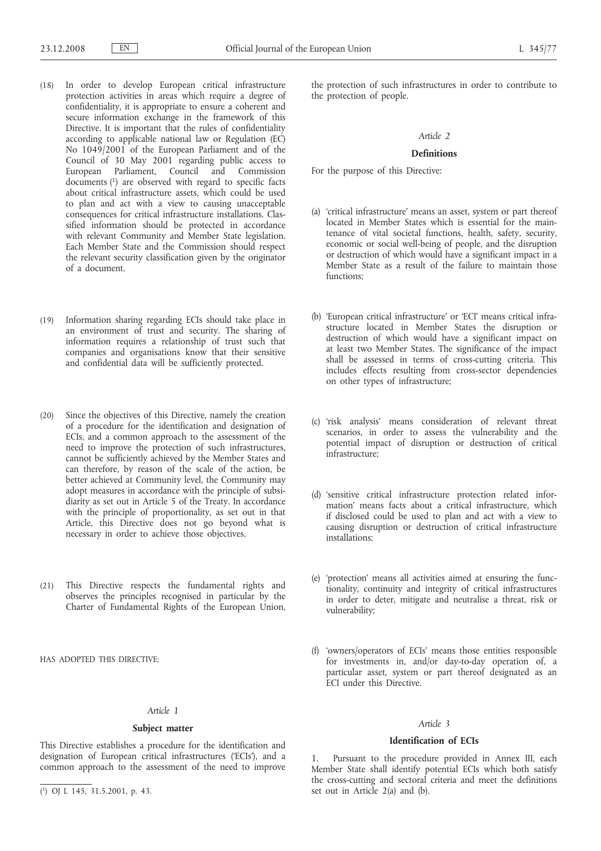- (18) In order to develop European critical infrastructure protection activities in areas which require a degree of confidentiality, it is appropriate to ensure a coherent and secure information exchange in the framework of this Directive. It is important that the rules of confidentiality according to applicable national law or Regulation (EC) No 1049/2001 of the European Parliament and of the Council of 30 May 2001 regarding public access to European Parliament, Council and Commission documents (1) are observed with regard to specific facts about critical infrastructure assets, which could be used to plan and act with a view to causing unacceptable consequences for critical infrastructure installations. Classified information should be protected in accordance with relevant Community and Member State legislation. Each Member State and the Commission should respect the relevant security classification given by the originator of a document.
- (19) Information sharing regarding ECIs should take place in an environment of trust and security. The sharing of information requires a relationship of trust such that companies and organisations know that their sensitive and confidential data will be sufficiently protected.
- (20) Since the objectives of this Directive, namely the creation of a procedure for the identification and designation of ECIs, and a common approach to the assessment of the need to improve the protection of such infrastructures, cannot be sufficiently achieved by the Member States and can therefore, by reason of the scale of the action, be better achieved at Community level, the Community may adopt measures in accordance with the principle of subsidiarity as set out in Article 5 of the Treaty. In accordance with the principle of proportionality, as set out in that Article, this Directive does not go beyond what is necessary in order to achieve those objectives.
- (21) This Directive respects the fundamental rights and observes the principles recognised in particular by the Charter of Fundamental Rights of the European Union,

HAS ADOPTED THIS DIRECTIVE:

### *Article 1*

### **Subject matter**

This Directive establishes a procedure for the identification and designation of European critical infrastructures ('ECIs'), and a common approach to the assessment of the need to improve the protection of such infrastructures in order to contribute to the protection of people.

#### *Article 2*

## **Definitions**

For the purpose of this Directive:

- (a) 'critical infrastructure' means an asset, system or part thereof located in Member States which is essential for the maintenance of vital societal functions, health, safety, security, economic or social well-being of people, and the disruption or destruction of which would have a significant impact in a Member State as a result of the failure to maintain those functions;
- (b) 'European critical infrastructure' or 'ECI' means critical infrastructure located in Member States the disruption or destruction of which would have a significant impact on at least two Member States. The significance of the impact shall be assessed in terms of cross-cutting criteria. This includes effects resulting from cross-sector dependencies on other types of infrastructure;
- (c) 'risk analysis' means consideration of relevant threat scenarios, in order to assess the vulnerability and the potential impact of disruption or destruction of critical infrastructure;
- (d) 'sensitive critical infrastructure protection related information' means facts about a critical infrastructure, which if disclosed could be used to plan and act with a view to causing disruption or destruction of critical infrastructure installations;
- (e) 'protection' means all activities aimed at ensuring the functionality, continuity and integrity of critical infrastructures in order to deter, mitigate and neutralise a threat, risk or vulnerability;
- (f) 'owners/operators of ECIs' means those entities responsible for investments in, and/or day-to-day operation of, a particular asset, system or part thereof designated as an ECI under this Directive.

### *Article 3*

### **Identification of ECIs**

1. Pursuant to the procedure provided in Annex III, each Member State shall identify potential ECIs which both satisfy the cross-cutting and sectoral criteria and meet the definitions set out in Article 2(a) and (b).

<sup>(</sup> 1) OJ L 145, 31.5.2001, p. 43.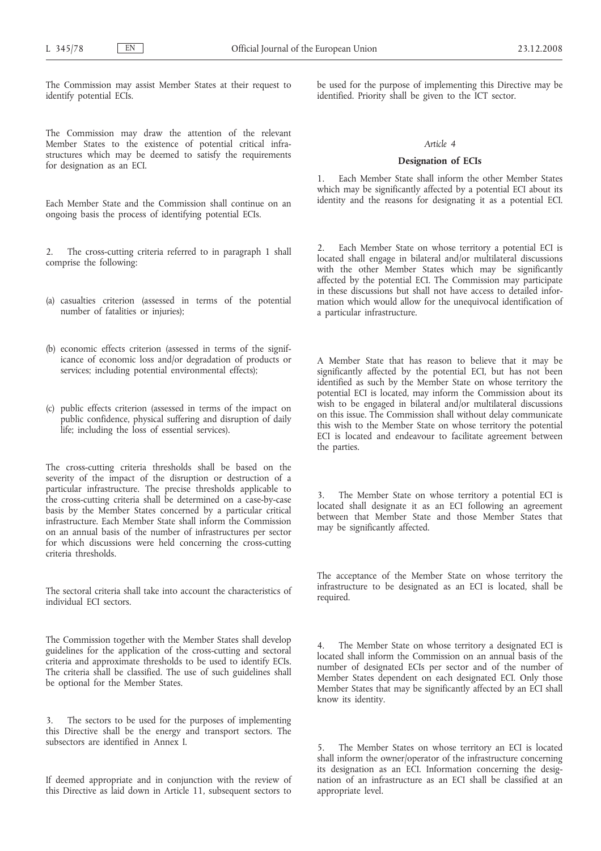The Commission may assist Member States at their request to identify potential ECIs.

The Commission may draw the attention of the relevant Member States to the existence of potential critical infrastructures which may be deemed to satisfy the requirements for designation as an ECI.

Each Member State and the Commission shall continue on an ongoing basis the process of identifying potential ECIs.

2. The cross-cutting criteria referred to in paragraph 1 shall comprise the following:

- (a) casualties criterion (assessed in terms of the potential number of fatalities or injuries);
- (b) economic effects criterion (assessed in terms of the significance of economic loss and/or degradation of products or services; including potential environmental effects);
- (c) public effects criterion (assessed in terms of the impact on public confidence, physical suffering and disruption of daily life; including the loss of essential services).

The cross-cutting criteria thresholds shall be based on the severity of the impact of the disruption or destruction of a particular infrastructure. The precise thresholds applicable to the cross-cutting criteria shall be determined on a case-by-case basis by the Member States concerned by a particular critical infrastructure. Each Member State shall inform the Commission on an annual basis of the number of infrastructures per sector for which discussions were held concerning the cross-cutting criteria thresholds.

The sectoral criteria shall take into account the characteristics of individual ECI sectors.

The Commission together with the Member States shall develop guidelines for the application of the cross-cutting and sectoral criteria and approximate thresholds to be used to identify ECIs. The criteria shall be classified. The use of such guidelines shall be optional for the Member States.

The sectors to be used for the purposes of implementing this Directive shall be the energy and transport sectors. The subsectors are identified in Annex I.

If deemed appropriate and in conjunction with the review of this Directive as laid down in Article 11, subsequent sectors to be used for the purpose of implementing this Directive may be identified. Priority shall be given to the ICT sector.

#### *Article 4*

### **Designation of ECIs**

Each Member State shall inform the other Member States which may be significantly affected by a potential ECI about its identity and the reasons for designating it as a potential ECI.

Each Member State on whose territory a potential ECI is located shall engage in bilateral and/or multilateral discussions with the other Member States which may be significantly affected by the potential ECI. The Commission may participate in these discussions but shall not have access to detailed information which would allow for the unequivocal identification of a particular infrastructure.

A Member State that has reason to believe that it may be significantly affected by the potential ECI, but has not been identified as such by the Member State on whose territory the potential ECI is located, may inform the Commission about its wish to be engaged in bilateral and/or multilateral discussions on this issue. The Commission shall without delay communicate this wish to the Member State on whose territory the potential ECI is located and endeavour to facilitate agreement between the parties.

The Member State on whose territory a potential ECI is located shall designate it as an ECI following an agreement between that Member State and those Member States that may be significantly affected.

The acceptance of the Member State on whose territory the infrastructure to be designated as an ECI is located, shall be required.

The Member State on whose territory a designated ECI is located shall inform the Commission on an annual basis of the number of designated ECIs per sector and of the number of Member States dependent on each designated ECI. Only those Member States that may be significantly affected by an ECI shall know its identity.

The Member States on whose territory an ECI is located shall inform the owner/operator of the infrastructure concerning its designation as an ECI. Information concerning the designation of an infrastructure as an ECI shall be classified at an appropriate level.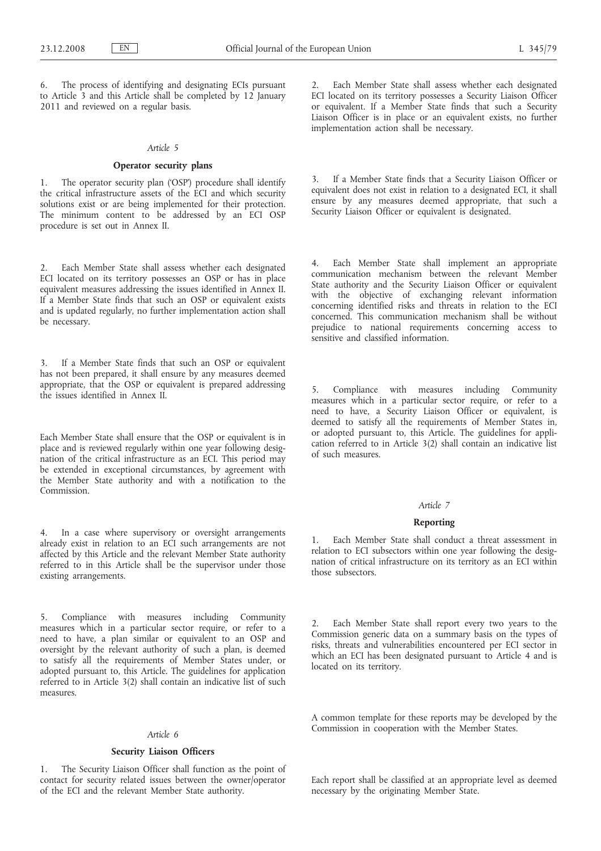6. The process of identifying and designating ECIs pursuant to Article 3 and this Article shall be completed by 12 January 2011 and reviewed on a regular basis.

### *Article 5*

## **Operator security plans**

1. The operator security plan ('OSP') procedure shall identify the critical infrastructure assets of the ECI and which security solutions exist or are being implemented for their protection. The minimum content to be addressed by an ECI OSP procedure is set out in Annex II.

2. Each Member State shall assess whether each designated ECI located on its territory possesses an OSP or has in place equivalent measures addressing the issues identified in Annex II. If a Member State finds that such an OSP or equivalent exists and is updated regularly, no further implementation action shall be necessary.

3. If a Member State finds that such an OSP or equivalent has not been prepared, it shall ensure by any measures deemed appropriate, that the OSP or equivalent is prepared addressing the issues identified in Annex II.

Each Member State shall ensure that the OSP or equivalent is in place and is reviewed regularly within one year following designation of the critical infrastructure as an ECI. This period may be extended in exceptional circumstances, by agreement with the Member State authority and with a notification to the Commission.

4. In a case where supervisory or oversight arrangements already exist in relation to an ECI such arrangements are not affected by this Article and the relevant Member State authority referred to in this Article shall be the supervisor under those existing arrangements.

5. Compliance with measures including Community measures which in a particular sector require, or refer to a need to have, a plan similar or equivalent to an OSP and oversight by the relevant authority of such a plan, is deemed to satisfy all the requirements of Member States under, or adopted pursuant to, this Article. The guidelines for application referred to in Article 3(2) shall contain an indicative list of such measures.

### *Article 6*

#### **Security Liaison Officers**

1. The Security Liaison Officer shall function as the point of contact for security related issues between the owner/operator of the ECI and the relevant Member State authority.

Each Member State shall assess whether each designated ECI located on its territory possesses a Security Liaison Officer or equivalent. If a Member State finds that such a Security Liaison Officer is in place or an equivalent exists, no further implementation action shall be necessary.

3. If a Member State finds that a Security Liaison Officer or equivalent does not exist in relation to a designated ECI, it shall ensure by any measures deemed appropriate, that such a Security Liaison Officer or equivalent is designated.

4. Each Member State shall implement an appropriate communication mechanism between the relevant Member State authority and the Security Liaison Officer or equivalent with the objective of exchanging relevant information concerning identified risks and threats in relation to the ECI concerned. This communication mechanism shall be without prejudice to national requirements concerning access to sensitive and classified information.

5. Compliance with measures including Community measures which in a particular sector require, or refer to a need to have, a Security Liaison Officer or equivalent, is deemed to satisfy all the requirements of Member States in, or adopted pursuant to, this Article. The guidelines for application referred to in Article 3(2) shall contain an indicative list of such measures.

### *Article 7*

## **Reporting**

1. Each Member State shall conduct a threat assessment in relation to ECI subsectors within one year following the designation of critical infrastructure on its territory as an ECI within those subsectors.

2. Each Member State shall report every two years to the Commission generic data on a summary basis on the types of risks, threats and vulnerabilities encountered per ECI sector in which an ECI has been designated pursuant to Article 4 and is located on its territory.

A common template for these reports may be developed by the Commission in cooperation with the Member States.

Each report shall be classified at an appropriate level as deemed necessary by the originating Member State.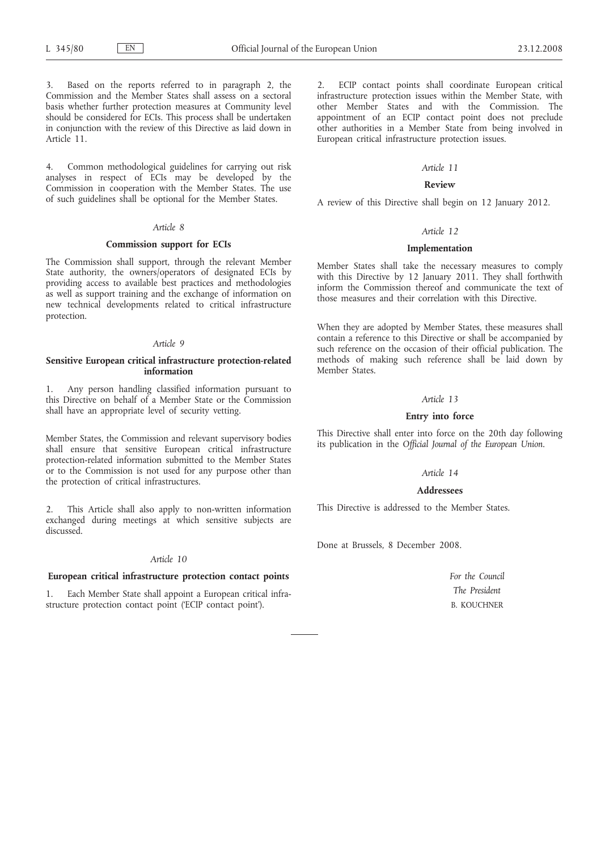Based on the reports referred to in paragraph 2, the Commission and the Member States shall assess on a sectoral basis whether further protection measures at Community level should be considered for ECIs. This process shall be undertaken in conjunction with the review of this Directive as laid down in Article 11.

4. Common methodological guidelines for carrying out risk analyses in respect of ECIs may be developed by the Commission in cooperation with the Member States. The use of such guidelines shall be optional for the Member States.

# *Article 8*

## **Commission support for ECIs**

The Commission shall support, through the relevant Member State authority, the owners/operators of designated ECIs by providing access to available best practices and methodologies as well as support training and the exchange of information on new technical developments related to critical infrastructure protection.

#### *Article 9*

## **Sensitive European critical infrastructure protection-related information**

1. Any person handling classified information pursuant to this Directive on behalf of a Member State or the Commission shall have an appropriate level of security vetting.

Member States, the Commission and relevant supervisory bodies shall ensure that sensitive European critical infrastructure protection-related information submitted to the Member States or to the Commission is not used for any purpose other than the protection of critical infrastructures.

2. This Article shall also apply to non-written information exchanged during meetings at which sensitive subjects are discussed.

## *Article 10*

### **European critical infrastructure protection contact points**

1. Each Member State shall appoint a European critical infrastructure protection contact point ('ECIP contact point').

ECIP contact points shall coordinate European critical infrastructure protection issues within the Member State, with other Member States and with the Commission. The appointment of an ECIP contact point does not preclude other authorities in a Member State from being involved in European critical infrastructure protection issues.

#### *Article 11*

## **Review**

A review of this Directive shall begin on 12 January 2012.

#### *Article 12*

## **Implementation**

Member States shall take the necessary measures to comply with this Directive by 12 January 2011. They shall forthwith inform the Commission thereof and communicate the text of those measures and their correlation with this Directive.

When they are adopted by Member States, these measures shall contain a reference to this Directive or shall be accompanied by such reference on the occasion of their official publication. The methods of making such reference shall be laid down by Member States.

#### *Article 13*

#### **Entry into force**

This Directive shall enter into force on the 20th day following its publication in the *Official Journal of the European Union*.

### *Article 14*

### **Addressees**

This Directive is addressed to the Member States.

Done at Brussels, 8 December 2008.

*For the Council The President* B. KOUCHNER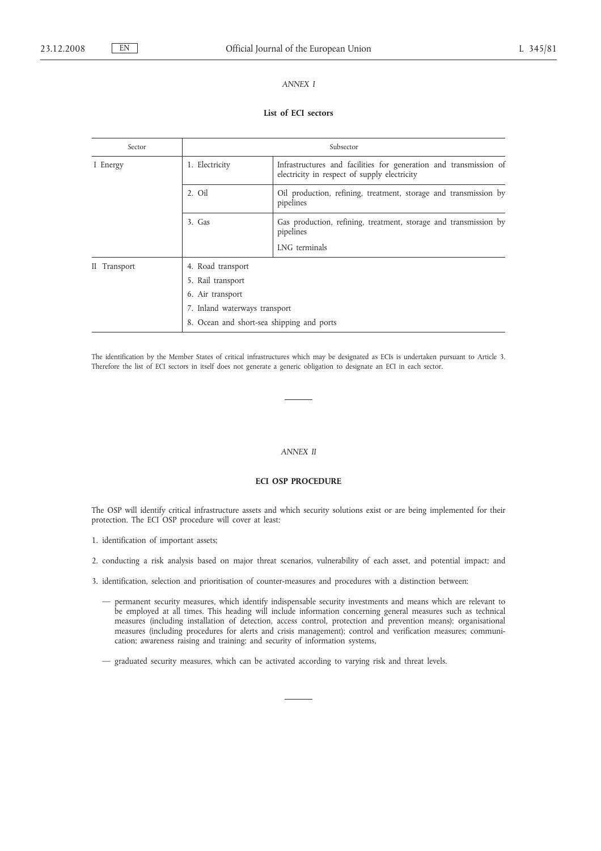# *ANNEX I*

### **List of ECI sectors**

| Sector       | Subsector                                 |                                                                                                                   |
|--------------|-------------------------------------------|-------------------------------------------------------------------------------------------------------------------|
| I Energy     | 1. Electricity                            | Infrastructures and facilities for generation and transmission of<br>electricity in respect of supply electricity |
|              | 2. Oil                                    | Oil production, refining, treatment, storage and transmission by<br>pipelines                                     |
|              | 3. Gas                                    | Gas production, refining, treatment, storage and transmission by<br>pipelines                                     |
|              |                                           | LNG terminals                                                                                                     |
| II Transport | 4. Road transport                         |                                                                                                                   |
|              | 5. Rail transport                         |                                                                                                                   |
|              | 6. Air transport                          |                                                                                                                   |
|              | 7. Inland waterways transport             |                                                                                                                   |
|              | 8. Ocean and short-sea shipping and ports |                                                                                                                   |

The identification by the Member States of critical infrastructures which may be designated as ECIs is undertaken pursuant to Article 3. Therefore the list of ECI sectors in itself does not generate a generic obligation to designate an ECI in each sector.

### *ANNEX II*

# **ECI OSP PROCEDURE**

The OSP will identify critical infrastructure assets and which security solutions exist or are being implemented for their protection. The ECI OSP procedure will cover at least:

- 1. identification of important assets;
- 2. conducting a risk analysis based on major threat scenarios, vulnerability of each asset, and potential impact; and
- 3. identification, selection and prioritisation of counter-measures and procedures with a distinction between:
	- permanent security measures, which identify indispensable security investments and means which are relevant to be employed at all times. This heading will include information concerning general measures such as technical measures (including installation of detection, access control, protection and prevention means); organisational measures (including procedures for alerts and crisis management); control and verification measures; communication; awareness raising and training; and security of information systems,
	- graduated security measures, which can be activated according to varying risk and threat levels.